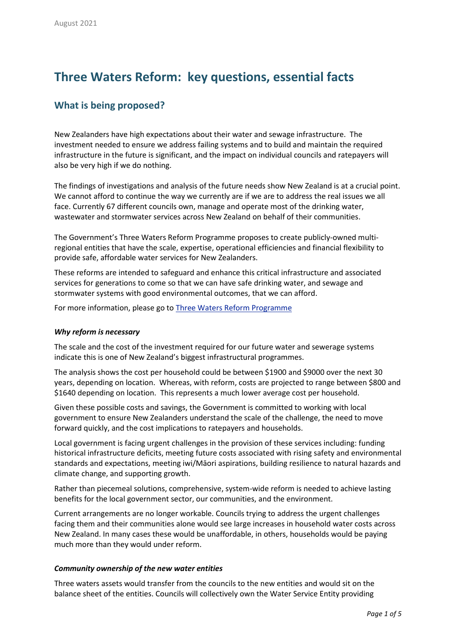# **Three Waters Reform: key questions, essential facts**

### **What is being proposed?**

New Zealanders have high expectations about their water and sewage infrastructure. The investment needed to ensure we address failing systems and to build and maintain the required infrastructure in the future is significant, and the impact on individual councils and ratepayers will also be very high if we do nothing.

The findings of investigations and analysis of the future needs show New Zealand is at a crucial point. We cannot afford to continue the way we currently are if we are to address the real issues we all face. Currently 67 different councils own, manage and operate most of the drinking water, wastewater and stormwater services across New Zealand on behalf of their communities.

The Government's Three Waters Reform Programme proposes to create publicly-owned multiregional entities that have the scale, expertise, operational efficiencies and financial flexibility to provide safe, affordable water services for New Zealanders.

These reforms are intended to safeguard and enhance this critical infrastructure and associated services for generations to come so that we can have safe drinking water, and sewage and stormwater systems with good environmental outcomes, that we can afford.

For more information, please go to **Three Waters Reform [Programme](https://www.dia.govt.nz/Three-Waters-Reform-Programme)** 

#### *Why reform is necessary*

The scale and the cost of the investment required for our future water and sewerage systems indicate this is one of New Zealand's biggest infrastructural programmes.

The analysis shows the cost per household could be between \$1900 and \$9000 over the next 30 years, depending on location. Whereas, with reform, costs are projected to range between \$800 and \$1640 depending on location. This represents a much lower average cost per household.

Given these possible costs and savings, the Government is committed to working with local government to ensure New Zealanders understand the scale of the challenge, the need to move forward quickly, and the cost implications to ratepayers and households.

Local government is facing urgent challenges in the provision of these services including: funding historical infrastructure deficits, meeting future costs associated with rising safety and environmental standards and expectations, meeting iwi/Māori aspirations, building resilience to natural hazards and climate change, and supporting growth.

Rather than piecemeal solutions, comprehensive, system-wide reform is needed to achieve lasting benefits for the local government sector, our communities, and the environment.

Current arrangements are no longer workable. Councils trying to address the urgent challenges facing them and their communities alone would see large increases in household water costs across New Zealand. In many cases these would be unaffordable, in others, households would be paying much more than they would under reform.

#### *Community ownership of the new water entities*

Three waters assets would transfer from the councils to the new entities and would sit on the balance sheet of the entities. Councils will collectively own the Water Service Entity providing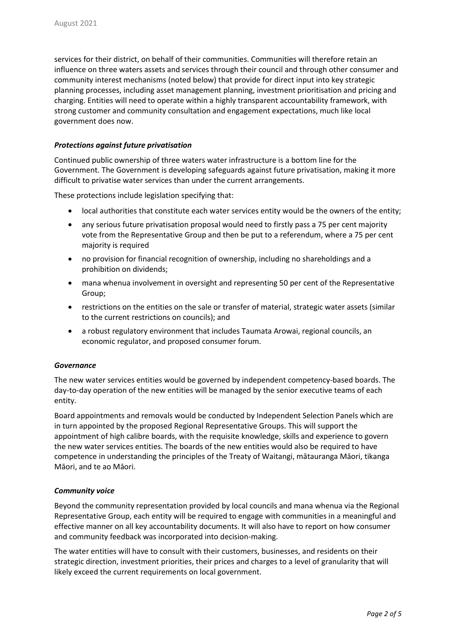services for their district, on behalf of their communities. Communities will therefore retain an influence on three waters assets and services through their council and through other consumer and community interest mechanisms (noted below) that provide for direct input into key strategic planning processes, including asset management planning, investment prioritisation and pricing and charging. Entities will need to operate within a highly transparent accountability framework, with strong customer and community consultation and engagement expectations, much like local government does now.

#### *Protections against future privatisation*

Continued public ownership of three waters water infrastructure is a bottom line for the Government. The Government is developing safeguards against future privatisation, making it more difficult to privatise water services than under the current arrangements.

These protections include legislation specifying that:

- local authorities that constitute each water services entity would be the owners of the entity;
- any serious future privatisation proposal would need to firstly pass a 75 per cent majority vote from the Representative Group and then be put to a referendum, where a 75 per cent majority is required
- no provision for financial recognition of ownership, including no shareholdings and a prohibition on dividends;
- mana whenua involvement in oversight and representing 50 per cent of the Representative Group;
- restrictions on the entities on the sale or transfer of material, strategic water assets (similar to the current restrictions on councils); and
- a robust regulatory environment that includes Taumata Arowai, regional councils, an economic regulator, and proposed consumer forum.

#### *Governance*

The new water services entities would be governed by independent competency-based boards. The day-to-day operation of the new entities will be managed by the senior executive teams of each entity.

Board appointments and removals would be conducted by Independent Selection Panels which are in turn appointed by the proposed Regional Representative Groups. This will support the appointment of high calibre boards, with the requisite knowledge, skills and experience to govern the new water services entities. The boards of the new entities would also be required to have competence in understanding the principles of the Treaty of Waitangi, mātauranga Māori, tikanga Māori, and te ao Māori.

#### *Community voice*

Beyond the community representation provided by local councils and mana whenua via the Regional Representative Group, each entity will be required to engage with communities in a meaningful and effective manner on all key accountability documents. It will also have to report on how consumer and community feedback was incorporated into decision-making.

The water entities will have to consult with their customers, businesses, and residents on their strategic direction, investment priorities, their prices and charges to a level of granularity that will likely exceed the current requirements on local government.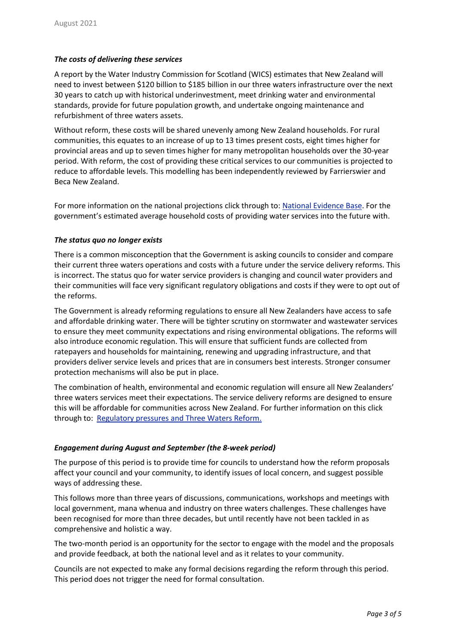#### *The costs of delivering these services*

A report by the Water Industry Commission for Scotland (WICS) estimates that New Zealand will need to invest between \$120 billion to \$185 billion in our three waters infrastructure over the next 30 years to catch up with historical underinvestment, meet drinking water and environmental standards, provide for future population growth, and undertake ongoing maintenance and refurbishment of three waters assets.

Without reform, these costs will be shared unevenly among New Zealand households. For rural communities, this equates to an increase of up to 13 times present costs, eight times higher for provincial areas and up to seven times higher for many metropolitan households over the 30-year period. With reform, the cost of providing these critical services to our communities is projected to reduce to affordable levels. This modelling has been independently reviewed by Farrierswier and Beca New Zealand.

For more information on the national projections click through to[: National](https://www.dia.govt.nz/Three-Waters-Reform-Programme#national-evidence-base) Evidence Base. For the government's estimated average household costs of providing water services into the future with.

#### *The status quo no longer exists*

There is a common misconception that the Government is asking councils to consider and compare their current three waters operations and costs with a future under the service delivery reforms. This is incorrect. The status quo for water service providers is changing and council water providers and their communities will face very significant regulatory obligations and costs if they were to opt out of the reforms.

The Government is already reforming regulations to ensure all New Zealanders have access to safe and affordable drinking water. There will be tighter scrutiny on stormwater and wastewater services to ensure they meet community expectations and rising environmental obligations. The reforms will also introduce economic regulation. This will ensure that sufficient funds are collected from ratepayers and households for maintaining, renewing and upgrading infrastructure, and that providers deliver service levels and prices that are in consumers best interests. Stronger consumer protection mechanisms will also be put in place.

The combination of health, environmental and economic regulation will ensure all New Zealanders' three waters services meet their expectations. The service delivery reforms are designed to ensure this will be affordable for communities across New Zealand. For further information on this click through to: [Regulatory](https://www.dia.govt.nz/Three-Waters-Reform-Programme#regulatory-pressures-and-three-waters-reform) pressures and Three Waters Reform.

#### *Engagement during August and September (the 8-week period)*

The purpose of this period is to provide time for councils to understand how the reform proposals affect your council and your community, to identify issues of local concern, and suggest possible ways of addressing these.

This follows more than three years of discussions, communications, workshops and meetings with local government, mana whenua and industry on three waters challenges. These challenges have been recognised for more than three decades, but until recently have not been tackled in as comprehensive and holistic a way.

The two-month period is an opportunity for the sector to engage with the model and the proposals and provide feedback, at both the national level and as it relates to your community.

Councils are not expected to make any formal decisions regarding the reform through this period. This period does not trigger the need for formal consultation.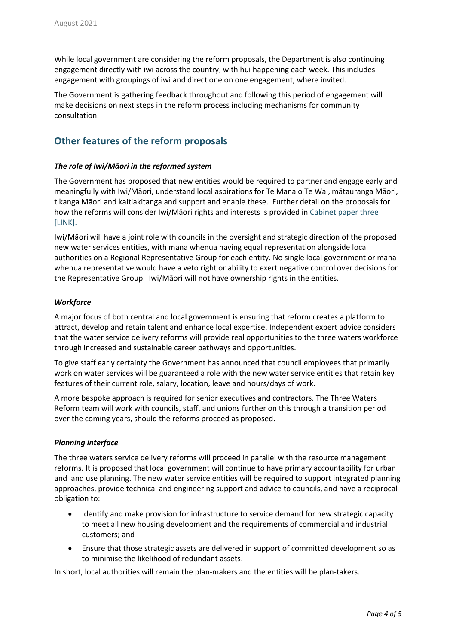While local government are considering the reform proposals, the Department is also continuing engagement directly with iwi across the country, with hui happening each week. This includes engagement with groupings of iwi and direct one on one engagement, where invited.

The Government is gathering feedback throughout and following this period of engagement will make decisions on next steps in the reform process including mechanisms for community consultation.

## **Other features of the reform proposals**

#### *The role of Iwi/Māori in the reformed system*

The Government has proposed that new entities would be required to partner and engage early and meaningfully with Iwi/Māori, understand local aspirations for Te Mana o Te Wai, mātauranga Māori, tikanga Māori and kaitiakitanga and support and enable these. Further detail on the proposals for how the reforms will consider Iwi/Māori rights and interests is provided i[n Cabinet paper three](https://www.dia.govt.nz/diawebsite.nsf/Files/Three-waters-reform-programme/$file/cabinet-paper-three-and-minute-protecting-and-promoting-iwi-maori-rights-and-interests-30-june-2021.pdf) [LINK].

Iwi/Māori will have a joint role with councils in the oversight and strategic direction of the proposed new water services entities, with mana whenua having equal representation alongside local authorities on a Regional Representative Group for each entity. No single local government or mana whenua representative would have a veto right or ability to exert negative control over decisions for the Representative Group. Iwi/Māori will not have ownership rights in the entities.

#### *Workforce*

A major focus of both central and local government is ensuring that reform creates a platform to attract, develop and retain talent and enhance local expertise. Independent expert advice considers that the water service delivery reforms will provide real opportunities to the three waters workforce through increased and sustainable career pathways and opportunities.

To give staff early certainty the Government has announced that council employees that primarily work on water services will be guaranteed a role with the new water service entities that retain key features of their current role, salary, location, leave and hours/days of work.

A more bespoke approach is required for senior executives and contractors. The Three Waters Reform team will work with councils, staff, and unions further on this through a transition period over the coming years, should the reforms proceed as proposed.

#### *Planning interface*

The three waters service delivery reforms will proceed in parallel with the resource management reforms. It is proposed that local government will continue to have primary accountability for urban and land use planning. The new water service entities will be required to support integrated planning approaches, provide technical and engineering support and advice to councils, and have a reciprocal obligation to:

- Identify and make provision for infrastructure to service demand for new strategic capacity to meet all new housing development and the requirements of commercial and industrial customers; and
- Ensure that those strategic assets are delivered in support of committed development so as to minimise the likelihood of redundant assets.

In short, local authorities will remain the plan-makers and the entities will be plan-takers.